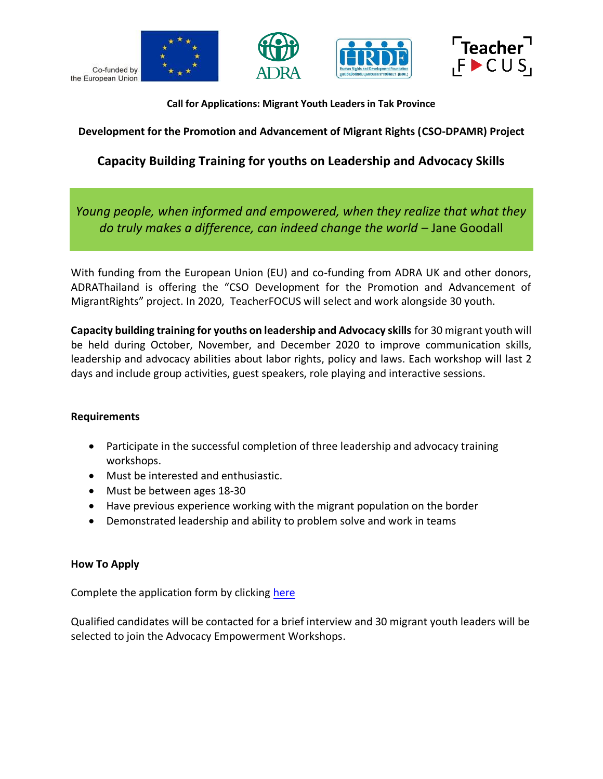

Co-funded by the European Union







**Call for Applications: Migrant Youth Leaders in Tak Province**

**Development for the Promotion and Advancement of Migrant Rights (CSO-DPAMR) Project**

# **Capacity Building Training for youths on Leadership and Advocacy Skills**

*Young people, when informed and empowered, when they realize that what they do truly makes a difference, can indeed change the world* – Jane Goodall

With funding from the European Union (EU) and co-funding from ADRA UK and other donors, ADRAThailand is offering the "CSO Development for the Promotion and Advancement of MigrantRights" project. In 2020, TeacherFOCUS will select and work alongside 30 youth.

**Capacity building training for youths on leadership and Advocacy skills** for 30 migrant youth will be held during October, November, and December 2020 to improve communication skills, leadership and advocacy abilities about labor rights, policy and laws. Each workshop will last 2 days and include group activities, guest speakers, role playing and interactive sessions.

## **Requirements**

- Participate in the successful completion of three leadership and advocacy training workshops.
- Must be interested and enthusiastic.
- Must be between ages 18-30
- Have previous experience working with the migrant population on the border
- Demonstrated leadership and ability to problem solve and work in teams

## **How To Apply**

Complete the application form by clicking [here](https://docs.google.com/forms/d/1RG9a0gB6nQF8vjx5aNRy1DvSztflaGmvZojtNhGUt84/edit)

Qualified candidates will be contacted for a brief interview and 30 migrant youth leaders will be selected to join the Advocacy Empowerment Workshops.